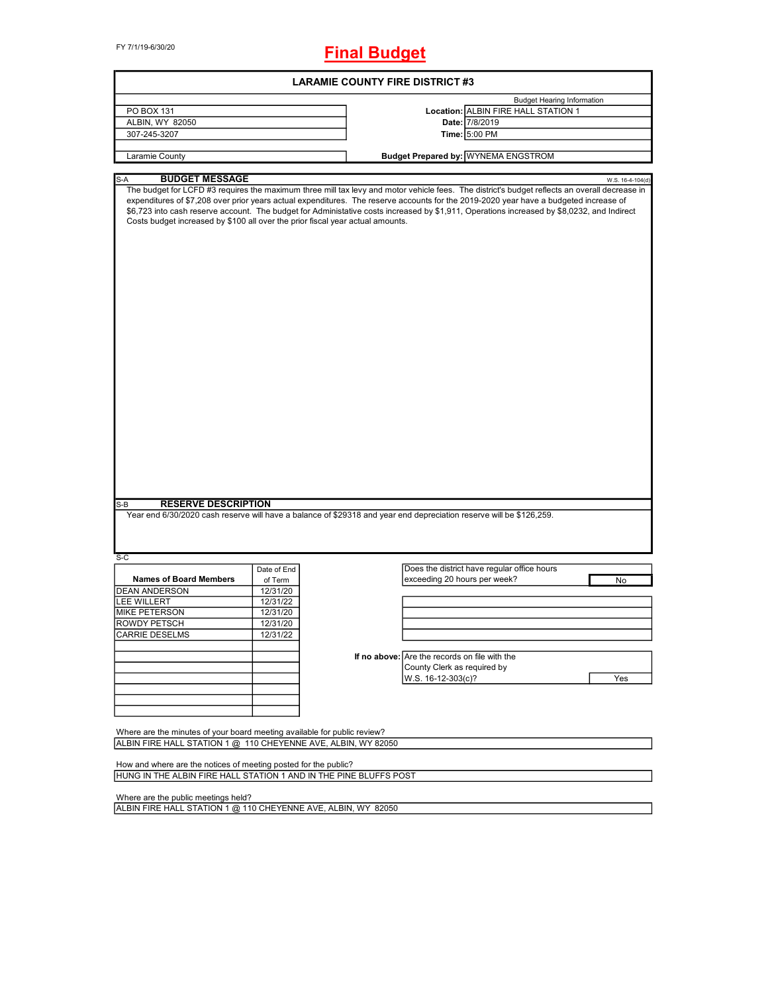FY 7/1/19-6/30/20

# **Final Budget**

| <b>LARAMIE COUNTY FIRE DISTRICT #3</b>                                                                                                    |             |                                                                                                                                                                                                                                                                                                                                                                                                                                                                                                                                                             |  |  |  |  |
|-------------------------------------------------------------------------------------------------------------------------------------------|-------------|-------------------------------------------------------------------------------------------------------------------------------------------------------------------------------------------------------------------------------------------------------------------------------------------------------------------------------------------------------------------------------------------------------------------------------------------------------------------------------------------------------------------------------------------------------------|--|--|--|--|
|                                                                                                                                           |             | <b>Budget Hearing Information</b>                                                                                                                                                                                                                                                                                                                                                                                                                                                                                                                           |  |  |  |  |
| PO BOX 131                                                                                                                                |             | Location: ALBIN FIRE HALL STATION 1                                                                                                                                                                                                                                                                                                                                                                                                                                                                                                                         |  |  |  |  |
| ALBIN, WY 82050                                                                                                                           |             | Date: 7/8/2019                                                                                                                                                                                                                                                                                                                                                                                                                                                                                                                                              |  |  |  |  |
| 307-245-3207                                                                                                                              |             | Time: 5:00 PM                                                                                                                                                                                                                                                                                                                                                                                                                                                                                                                                               |  |  |  |  |
|                                                                                                                                           |             |                                                                                                                                                                                                                                                                                                                                                                                                                                                                                                                                                             |  |  |  |  |
| Laramie County                                                                                                                            |             | <b>Budget Prepared by: WYNEMA ENGSTROM</b>                                                                                                                                                                                                                                                                                                                                                                                                                                                                                                                  |  |  |  |  |
| <b>BUDGET MESSAGE</b><br>S-A                                                                                                              |             | W.S. 16-4-104(d)                                                                                                                                                                                                                                                                                                                                                                                                                                                                                                                                            |  |  |  |  |
| Costs budget increased by \$100 all over the prior fiscal year actual amounts.<br><b>RESERVE DESCRIPTION</b><br>S-B                       |             | The budget for LCFD #3 requires the maximum three mill tax levy and motor vehicle fees. The district's budget reflects an overall decrease in<br>expenditures of \$7,208 over prior years actual expenditures. The reserve accounts for the 2019-2020 year have a budgeted increase of<br>\$6,723 into cash reserve account. The budget for Administative costs increased by \$1,911, Operations increased by \$8,0232, and Indirect<br>Year end 6/30/2020 cash reserve will have a balance of \$29318 and year end depreciation reserve will be \$126,259. |  |  |  |  |
|                                                                                                                                           |             |                                                                                                                                                                                                                                                                                                                                                                                                                                                                                                                                                             |  |  |  |  |
| $S-C$                                                                                                                                     |             |                                                                                                                                                                                                                                                                                                                                                                                                                                                                                                                                                             |  |  |  |  |
|                                                                                                                                           | Date of End | Does the district have regular office hours                                                                                                                                                                                                                                                                                                                                                                                                                                                                                                                 |  |  |  |  |
| <b>Names of Board Members</b>                                                                                                             | of Term     | exceeding 20 hours per week?<br>No                                                                                                                                                                                                                                                                                                                                                                                                                                                                                                                          |  |  |  |  |
| <b>DEAN ANDERSON</b>                                                                                                                      | 12/31/20    |                                                                                                                                                                                                                                                                                                                                                                                                                                                                                                                                                             |  |  |  |  |
| <b>LEE WILLERT</b>                                                                                                                        | 12/31/22    |                                                                                                                                                                                                                                                                                                                                                                                                                                                                                                                                                             |  |  |  |  |
| <b>MIKE PETERSON</b>                                                                                                                      | 12/31/20    |                                                                                                                                                                                                                                                                                                                                                                                                                                                                                                                                                             |  |  |  |  |
| ROWDY PETSCH                                                                                                                              | 12/31/20    |                                                                                                                                                                                                                                                                                                                                                                                                                                                                                                                                                             |  |  |  |  |
| CARRIE DESELMS                                                                                                                            | 12/31/22    |                                                                                                                                                                                                                                                                                                                                                                                                                                                                                                                                                             |  |  |  |  |
|                                                                                                                                           |             |                                                                                                                                                                                                                                                                                                                                                                                                                                                                                                                                                             |  |  |  |  |
|                                                                                                                                           |             | If no above: Are the records on file with the                                                                                                                                                                                                                                                                                                                                                                                                                                                                                                               |  |  |  |  |
|                                                                                                                                           |             | County Clerk as required by                                                                                                                                                                                                                                                                                                                                                                                                                                                                                                                                 |  |  |  |  |
|                                                                                                                                           |             | W.S. 16-12-303(c)?<br>Yes                                                                                                                                                                                                                                                                                                                                                                                                                                                                                                                                   |  |  |  |  |
|                                                                                                                                           |             |                                                                                                                                                                                                                                                                                                                                                                                                                                                                                                                                                             |  |  |  |  |
|                                                                                                                                           |             |                                                                                                                                                                                                                                                                                                                                                                                                                                                                                                                                                             |  |  |  |  |
|                                                                                                                                           |             |                                                                                                                                                                                                                                                                                                                                                                                                                                                                                                                                                             |  |  |  |  |
|                                                                                                                                           |             |                                                                                                                                                                                                                                                                                                                                                                                                                                                                                                                                                             |  |  |  |  |
| Where are the minutes of your board meeting available for public review?<br>ALBIN FIRE HALL STATION 1 @ 110 CHEYENNE AVE, ALBIN, WY 82050 |             |                                                                                                                                                                                                                                                                                                                                                                                                                                                                                                                                                             |  |  |  |  |
|                                                                                                                                           |             |                                                                                                                                                                                                                                                                                                                                                                                                                                                                                                                                                             |  |  |  |  |
|                                                                                                                                           |             |                                                                                                                                                                                                                                                                                                                                                                                                                                                                                                                                                             |  |  |  |  |
| How and where are the notices of meeting posted for the public?<br>HUNG IN THE ALBIN FIRE HALL STATION 1 AND IN THE PINE BLUFFS POST      |             |                                                                                                                                                                                                                                                                                                                                                                                                                                                                                                                                                             |  |  |  |  |
|                                                                                                                                           |             |                                                                                                                                                                                                                                                                                                                                                                                                                                                                                                                                                             |  |  |  |  |
| Where are the public meetings held?                                                                                                       |             |                                                                                                                                                                                                                                                                                                                                                                                                                                                                                                                                                             |  |  |  |  |
| ALBIN FIRE HALL STATION 1 @ 110 CHEYENNE AVE, ALBIN, WY 82050                                                                             |             |                                                                                                                                                                                                                                                                                                                                                                                                                                                                                                                                                             |  |  |  |  |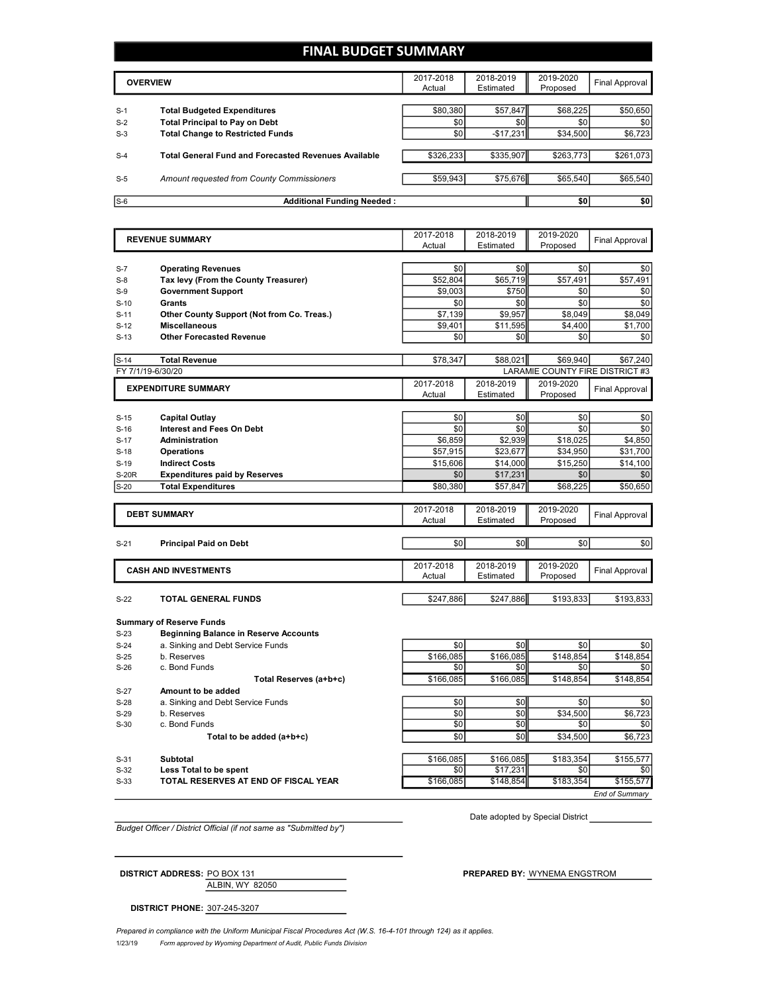# **FINAL BUDGET SUMMARY**

|                | <b>OVERVIEW</b>                                                             | 2017-2018<br>Actual | 2018-2019<br>Estimated | 2019-2020<br>Proposed | Final Approval  |
|----------------|-----------------------------------------------------------------------------|---------------------|------------------------|-----------------------|-----------------|
|                |                                                                             |                     |                        |                       |                 |
| $S-1$<br>$S-2$ | <b>Total Budgeted Expenditures</b><br><b>Total Principal to Pay on Debt</b> | \$80,380<br>\$0     | \$57,847<br>\$0        | \$68,225<br>\$0       | \$50,650<br>\$0 |
| $S-3$          | <b>Total Change to Restricted Funds</b>                                     | \$0                 | $-$17,231$             | \$34,500              | \$6,723         |
|                |                                                                             |                     |                        |                       |                 |
| $S-4$          | <b>Total General Fund and Forecasted Revenues Available</b>                 | \$326,233           | \$335,907              | \$263,773             | \$261,073       |
|                |                                                                             |                     |                        |                       |                 |
| $S-5$          | Amount requested from County Commissioners                                  | \$59,943            | \$75,676               | \$65,540              | \$65,540        |
| $S-6$          | <b>Additional Funding Needed:</b>                                           |                     |                        | \$0                   | \$0             |

| \$0<br>\$0<br>\$0<br>\$0<br><b>Operating Revenues</b><br>$S-7$<br>\$52.804<br>\$65,719<br>\$57.491<br>\$57.491<br>Tax levy (From the County Treasurer)<br>$S-8$<br><b>Government Support</b><br>\$750<br>\$0<br>\$9.003<br>\$0<br>$S-9$<br>\$0<br>\$0<br>\$0<br>\$0<br>Grants<br>$S-10$<br>Other County Support (Not from Co. Treas.)<br>\$7,139<br>\$9,957<br>\$8,049<br>\$8,049<br>$S-11$<br>\$1,700<br><b>Miscellaneous</b><br>\$9,401<br>\$11,595<br>\$4,400<br>$S-12$<br><b>Other Forecasted Revenue</b><br>\$0<br>\$0<br>\$0<br>\$0<br>$S-13$<br>\$88.021<br>\$69.940<br><b>Total Revenue</b><br>\$78,347<br>\$67.240<br>LARAMIE COUNTY FIRE DISTRICT #3<br>FY 7/1/19-6/30/20<br>2017-2018<br>2018-2019<br>2019-2020<br><b>EXPENDITURE SUMMARY</b><br><b>Final Approval</b><br>Actual<br>Estimated<br>Proposed<br>\$0<br>\$0<br>\$0<br><b>Capital Outlay</b><br>\$0<br>\$0<br>\$0<br>\$0<br>\$0<br><b>Interest and Fees On Debt</b><br>\$2.939<br>\$18,025<br>\$4.850<br><b>Administration</b><br>\$6,859<br>\$23,677<br><b>Operations</b><br>\$57,915<br>\$34,950<br>\$31,700<br><b>Indirect Costs</b><br>\$15,606<br>\$14,000<br>\$15,250<br>\$14,100<br>\$0<br>\$17,231<br>\$0<br>\$0<br><b>Expenditures paid by Reserves</b><br><b>Total Expenditures</b><br>\$80,380<br>\$57,847<br>\$68,225<br>\$50,650<br>2018-2019<br>2017-2018<br>2019-2020<br><b>DEBT SUMMARY</b><br><b>Final Approval</b><br>Actual<br>Estimated<br>Proposed<br>\$0<br>\$0<br>\$0<br>$S-21$<br><b>Principal Paid on Debt</b><br>\$0<br>2017-2018<br>2018-2019<br>2019-2020<br><b>CASH AND INVESTMENTS</b><br><b>Final Approval</b><br>Actual<br>Estimated<br>Proposed<br>\$247,886<br>$S-22$<br><b>TOTAL GENERAL FUNDS</b><br>\$247,886<br>\$193,833<br>\$193,833<br><b>Summary of Reserve Funds</b><br><b>Beginning Balance in Reserve Accounts</b><br>$S-23$<br>a. Sinking and Debt Service Funds<br>\$0<br>\$0<br>\$0<br>$S-24$<br>\$0<br>b. Reserves<br>\$166,085<br>\$166,085<br>\$148,854<br>\$148,854<br>$S-25$<br>c. Bond Funds<br>\$0<br>\$0<br>\$0<br>\$0<br>$S-26$<br>\$166,085<br>\$148,854<br>\$166,085<br>\$148,854<br>Total Reserves (a+b+c)<br>Amount to be added<br>$S-27$<br>\$0<br>\$0<br>$S-28$<br>a. Sinking and Debt Service Funds<br>\$0<br>\$0<br>\$0<br>\$0<br>\$34,500<br>\$6,723<br>$S-29$<br>b. Reserves<br>c. Bond Funds<br>\$0<br>\$0<br>\$0<br>$S-30$<br>\$0<br>\$0<br>\$0<br>\$34,500<br>\$6.723<br>Total to be added (a+b+c)<br><b>Subtotal</b><br>\$166,085<br>\$166,085<br>\$183,354<br>\$155,577<br>\$17,231<br>\$0<br>\$0<br>\$0<br>$S-32$<br><b>Less Total to be spent</b><br>\$166,085<br>\$183,354<br>\$155,577<br>TOTAL RESERVES AT END OF FISCAL YEAR<br>\$148,854<br>$S-33$ |              | <b>REVENUE SUMMARY</b> | 2017-2018 | 2018-2019 | 2019-2020 | <b>Final Approval</b> |
|---------------------------------------------------------------------------------------------------------------------------------------------------------------------------------------------------------------------------------------------------------------------------------------------------------------------------------------------------------------------------------------------------------------------------------------------------------------------------------------------------------------------------------------------------------------------------------------------------------------------------------------------------------------------------------------------------------------------------------------------------------------------------------------------------------------------------------------------------------------------------------------------------------------------------------------------------------------------------------------------------------------------------------------------------------------------------------------------------------------------------------------------------------------------------------------------------------------------------------------------------------------------------------------------------------------------------------------------------------------------------------------------------------------------------------------------------------------------------------------------------------------------------------------------------------------------------------------------------------------------------------------------------------------------------------------------------------------------------------------------------------------------------------------------------------------------------------------------------------------------------------------------------------------------------------------------------------------------------------------------------------------------------------------------------------------------------------------------------------------------------------------------------------------------------------------------------------------------------------------------------------------------------------------------------------------------------------------------------------------------------------------------------------------------------------------------------------------------------------------------------------------------------------------------------------------------------------------------------------------------------------------------------------------------------------------------------------|--------------|------------------------|-----------|-----------|-----------|-----------------------|
|                                                                                                                                                                                                                                                                                                                                                                                                                                                                                                                                                                                                                                                                                                                                                                                                                                                                                                                                                                                                                                                                                                                                                                                                                                                                                                                                                                                                                                                                                                                                                                                                                                                                                                                                                                                                                                                                                                                                                                                                                                                                                                                                                                                                                                                                                                                                                                                                                                                                                                                                                                                                                                                                                                         |              |                        | Actual    | Estimated | Proposed  |                       |
|                                                                                                                                                                                                                                                                                                                                                                                                                                                                                                                                                                                                                                                                                                                                                                                                                                                                                                                                                                                                                                                                                                                                                                                                                                                                                                                                                                                                                                                                                                                                                                                                                                                                                                                                                                                                                                                                                                                                                                                                                                                                                                                                                                                                                                                                                                                                                                                                                                                                                                                                                                                                                                                                                                         |              |                        |           |           |           |                       |
|                                                                                                                                                                                                                                                                                                                                                                                                                                                                                                                                                                                                                                                                                                                                                                                                                                                                                                                                                                                                                                                                                                                                                                                                                                                                                                                                                                                                                                                                                                                                                                                                                                                                                                                                                                                                                                                                                                                                                                                                                                                                                                                                                                                                                                                                                                                                                                                                                                                                                                                                                                                                                                                                                                         |              |                        |           |           |           |                       |
|                                                                                                                                                                                                                                                                                                                                                                                                                                                                                                                                                                                                                                                                                                                                                                                                                                                                                                                                                                                                                                                                                                                                                                                                                                                                                                                                                                                                                                                                                                                                                                                                                                                                                                                                                                                                                                                                                                                                                                                                                                                                                                                                                                                                                                                                                                                                                                                                                                                                                                                                                                                                                                                                                                         |              |                        |           |           |           |                       |
|                                                                                                                                                                                                                                                                                                                                                                                                                                                                                                                                                                                                                                                                                                                                                                                                                                                                                                                                                                                                                                                                                                                                                                                                                                                                                                                                                                                                                                                                                                                                                                                                                                                                                                                                                                                                                                                                                                                                                                                                                                                                                                                                                                                                                                                                                                                                                                                                                                                                                                                                                                                                                                                                                                         |              |                        |           |           |           |                       |
|                                                                                                                                                                                                                                                                                                                                                                                                                                                                                                                                                                                                                                                                                                                                                                                                                                                                                                                                                                                                                                                                                                                                                                                                                                                                                                                                                                                                                                                                                                                                                                                                                                                                                                                                                                                                                                                                                                                                                                                                                                                                                                                                                                                                                                                                                                                                                                                                                                                                                                                                                                                                                                                                                                         |              |                        |           |           |           |                       |
|                                                                                                                                                                                                                                                                                                                                                                                                                                                                                                                                                                                                                                                                                                                                                                                                                                                                                                                                                                                                                                                                                                                                                                                                                                                                                                                                                                                                                                                                                                                                                                                                                                                                                                                                                                                                                                                                                                                                                                                                                                                                                                                                                                                                                                                                                                                                                                                                                                                                                                                                                                                                                                                                                                         |              |                        |           |           |           |                       |
|                                                                                                                                                                                                                                                                                                                                                                                                                                                                                                                                                                                                                                                                                                                                                                                                                                                                                                                                                                                                                                                                                                                                                                                                                                                                                                                                                                                                                                                                                                                                                                                                                                                                                                                                                                                                                                                                                                                                                                                                                                                                                                                                                                                                                                                                                                                                                                                                                                                                                                                                                                                                                                                                                                         |              |                        |           |           |           |                       |
|                                                                                                                                                                                                                                                                                                                                                                                                                                                                                                                                                                                                                                                                                                                                                                                                                                                                                                                                                                                                                                                                                                                                                                                                                                                                                                                                                                                                                                                                                                                                                                                                                                                                                                                                                                                                                                                                                                                                                                                                                                                                                                                                                                                                                                                                                                                                                                                                                                                                                                                                                                                                                                                                                                         |              |                        |           |           |           |                       |
|                                                                                                                                                                                                                                                                                                                                                                                                                                                                                                                                                                                                                                                                                                                                                                                                                                                                                                                                                                                                                                                                                                                                                                                                                                                                                                                                                                                                                                                                                                                                                                                                                                                                                                                                                                                                                                                                                                                                                                                                                                                                                                                                                                                                                                                                                                                                                                                                                                                                                                                                                                                                                                                                                                         | $S-14$       |                        |           |           |           |                       |
|                                                                                                                                                                                                                                                                                                                                                                                                                                                                                                                                                                                                                                                                                                                                                                                                                                                                                                                                                                                                                                                                                                                                                                                                                                                                                                                                                                                                                                                                                                                                                                                                                                                                                                                                                                                                                                                                                                                                                                                                                                                                                                                                                                                                                                                                                                                                                                                                                                                                                                                                                                                                                                                                                                         |              |                        |           |           |           |                       |
|                                                                                                                                                                                                                                                                                                                                                                                                                                                                                                                                                                                                                                                                                                                                                                                                                                                                                                                                                                                                                                                                                                                                                                                                                                                                                                                                                                                                                                                                                                                                                                                                                                                                                                                                                                                                                                                                                                                                                                                                                                                                                                                                                                                                                                                                                                                                                                                                                                                                                                                                                                                                                                                                                                         |              |                        |           |           |           |                       |
|                                                                                                                                                                                                                                                                                                                                                                                                                                                                                                                                                                                                                                                                                                                                                                                                                                                                                                                                                                                                                                                                                                                                                                                                                                                                                                                                                                                                                                                                                                                                                                                                                                                                                                                                                                                                                                                                                                                                                                                                                                                                                                                                                                                                                                                                                                                                                                                                                                                                                                                                                                                                                                                                                                         |              |                        |           |           |           |                       |
|                                                                                                                                                                                                                                                                                                                                                                                                                                                                                                                                                                                                                                                                                                                                                                                                                                                                                                                                                                                                                                                                                                                                                                                                                                                                                                                                                                                                                                                                                                                                                                                                                                                                                                                                                                                                                                                                                                                                                                                                                                                                                                                                                                                                                                                                                                                                                                                                                                                                                                                                                                                                                                                                                                         |              |                        |           |           |           |                       |
|                                                                                                                                                                                                                                                                                                                                                                                                                                                                                                                                                                                                                                                                                                                                                                                                                                                                                                                                                                                                                                                                                                                                                                                                                                                                                                                                                                                                                                                                                                                                                                                                                                                                                                                                                                                                                                                                                                                                                                                                                                                                                                                                                                                                                                                                                                                                                                                                                                                                                                                                                                                                                                                                                                         | $S-15$       |                        |           |           |           |                       |
|                                                                                                                                                                                                                                                                                                                                                                                                                                                                                                                                                                                                                                                                                                                                                                                                                                                                                                                                                                                                                                                                                                                                                                                                                                                                                                                                                                                                                                                                                                                                                                                                                                                                                                                                                                                                                                                                                                                                                                                                                                                                                                                                                                                                                                                                                                                                                                                                                                                                                                                                                                                                                                                                                                         | $S-16$       |                        |           |           |           |                       |
|                                                                                                                                                                                                                                                                                                                                                                                                                                                                                                                                                                                                                                                                                                                                                                                                                                                                                                                                                                                                                                                                                                                                                                                                                                                                                                                                                                                                                                                                                                                                                                                                                                                                                                                                                                                                                                                                                                                                                                                                                                                                                                                                                                                                                                                                                                                                                                                                                                                                                                                                                                                                                                                                                                         | $S-17$       |                        |           |           |           |                       |
|                                                                                                                                                                                                                                                                                                                                                                                                                                                                                                                                                                                                                                                                                                                                                                                                                                                                                                                                                                                                                                                                                                                                                                                                                                                                                                                                                                                                                                                                                                                                                                                                                                                                                                                                                                                                                                                                                                                                                                                                                                                                                                                                                                                                                                                                                                                                                                                                                                                                                                                                                                                                                                                                                                         | $S-18$       |                        |           |           |           |                       |
|                                                                                                                                                                                                                                                                                                                                                                                                                                                                                                                                                                                                                                                                                                                                                                                                                                                                                                                                                                                                                                                                                                                                                                                                                                                                                                                                                                                                                                                                                                                                                                                                                                                                                                                                                                                                                                                                                                                                                                                                                                                                                                                                                                                                                                                                                                                                                                                                                                                                                                                                                                                                                                                                                                         | $S-19$       |                        |           |           |           |                       |
|                                                                                                                                                                                                                                                                                                                                                                                                                                                                                                                                                                                                                                                                                                                                                                                                                                                                                                                                                                                                                                                                                                                                                                                                                                                                                                                                                                                                                                                                                                                                                                                                                                                                                                                                                                                                                                                                                                                                                                                                                                                                                                                                                                                                                                                                                                                                                                                                                                                                                                                                                                                                                                                                                                         | <b>S-20R</b> |                        |           |           |           |                       |
|                                                                                                                                                                                                                                                                                                                                                                                                                                                                                                                                                                                                                                                                                                                                                                                                                                                                                                                                                                                                                                                                                                                                                                                                                                                                                                                                                                                                                                                                                                                                                                                                                                                                                                                                                                                                                                                                                                                                                                                                                                                                                                                                                                                                                                                                                                                                                                                                                                                                                                                                                                                                                                                                                                         | $S-20$       |                        |           |           |           |                       |
|                                                                                                                                                                                                                                                                                                                                                                                                                                                                                                                                                                                                                                                                                                                                                                                                                                                                                                                                                                                                                                                                                                                                                                                                                                                                                                                                                                                                                                                                                                                                                                                                                                                                                                                                                                                                                                                                                                                                                                                                                                                                                                                                                                                                                                                                                                                                                                                                                                                                                                                                                                                                                                                                                                         |              |                        |           |           |           |                       |
|                                                                                                                                                                                                                                                                                                                                                                                                                                                                                                                                                                                                                                                                                                                                                                                                                                                                                                                                                                                                                                                                                                                                                                                                                                                                                                                                                                                                                                                                                                                                                                                                                                                                                                                                                                                                                                                                                                                                                                                                                                                                                                                                                                                                                                                                                                                                                                                                                                                                                                                                                                                                                                                                                                         |              |                        |           |           |           |                       |
|                                                                                                                                                                                                                                                                                                                                                                                                                                                                                                                                                                                                                                                                                                                                                                                                                                                                                                                                                                                                                                                                                                                                                                                                                                                                                                                                                                                                                                                                                                                                                                                                                                                                                                                                                                                                                                                                                                                                                                                                                                                                                                                                                                                                                                                                                                                                                                                                                                                                                                                                                                                                                                                                                                         |              |                        |           |           |           |                       |
|                                                                                                                                                                                                                                                                                                                                                                                                                                                                                                                                                                                                                                                                                                                                                                                                                                                                                                                                                                                                                                                                                                                                                                                                                                                                                                                                                                                                                                                                                                                                                                                                                                                                                                                                                                                                                                                                                                                                                                                                                                                                                                                                                                                                                                                                                                                                                                                                                                                                                                                                                                                                                                                                                                         |              |                        |           |           |           |                       |
|                                                                                                                                                                                                                                                                                                                                                                                                                                                                                                                                                                                                                                                                                                                                                                                                                                                                                                                                                                                                                                                                                                                                                                                                                                                                                                                                                                                                                                                                                                                                                                                                                                                                                                                                                                                                                                                                                                                                                                                                                                                                                                                                                                                                                                                                                                                                                                                                                                                                                                                                                                                                                                                                                                         |              |                        |           |           |           |                       |
|                                                                                                                                                                                                                                                                                                                                                                                                                                                                                                                                                                                                                                                                                                                                                                                                                                                                                                                                                                                                                                                                                                                                                                                                                                                                                                                                                                                                                                                                                                                                                                                                                                                                                                                                                                                                                                                                                                                                                                                                                                                                                                                                                                                                                                                                                                                                                                                                                                                                                                                                                                                                                                                                                                         |              |                        |           |           |           |                       |
|                                                                                                                                                                                                                                                                                                                                                                                                                                                                                                                                                                                                                                                                                                                                                                                                                                                                                                                                                                                                                                                                                                                                                                                                                                                                                                                                                                                                                                                                                                                                                                                                                                                                                                                                                                                                                                                                                                                                                                                                                                                                                                                                                                                                                                                                                                                                                                                                                                                                                                                                                                                                                                                                                                         |              |                        |           |           |           |                       |
|                                                                                                                                                                                                                                                                                                                                                                                                                                                                                                                                                                                                                                                                                                                                                                                                                                                                                                                                                                                                                                                                                                                                                                                                                                                                                                                                                                                                                                                                                                                                                                                                                                                                                                                                                                                                                                                                                                                                                                                                                                                                                                                                                                                                                                                                                                                                                                                                                                                                                                                                                                                                                                                                                                         |              |                        |           |           |           |                       |
|                                                                                                                                                                                                                                                                                                                                                                                                                                                                                                                                                                                                                                                                                                                                                                                                                                                                                                                                                                                                                                                                                                                                                                                                                                                                                                                                                                                                                                                                                                                                                                                                                                                                                                                                                                                                                                                                                                                                                                                                                                                                                                                                                                                                                                                                                                                                                                                                                                                                                                                                                                                                                                                                                                         |              |                        |           |           |           |                       |
|                                                                                                                                                                                                                                                                                                                                                                                                                                                                                                                                                                                                                                                                                                                                                                                                                                                                                                                                                                                                                                                                                                                                                                                                                                                                                                                                                                                                                                                                                                                                                                                                                                                                                                                                                                                                                                                                                                                                                                                                                                                                                                                                                                                                                                                                                                                                                                                                                                                                                                                                                                                                                                                                                                         |              |                        |           |           |           |                       |
|                                                                                                                                                                                                                                                                                                                                                                                                                                                                                                                                                                                                                                                                                                                                                                                                                                                                                                                                                                                                                                                                                                                                                                                                                                                                                                                                                                                                                                                                                                                                                                                                                                                                                                                                                                                                                                                                                                                                                                                                                                                                                                                                                                                                                                                                                                                                                                                                                                                                                                                                                                                                                                                                                                         |              |                        |           |           |           |                       |
|                                                                                                                                                                                                                                                                                                                                                                                                                                                                                                                                                                                                                                                                                                                                                                                                                                                                                                                                                                                                                                                                                                                                                                                                                                                                                                                                                                                                                                                                                                                                                                                                                                                                                                                                                                                                                                                                                                                                                                                                                                                                                                                                                                                                                                                                                                                                                                                                                                                                                                                                                                                                                                                                                                         |              |                        |           |           |           |                       |
|                                                                                                                                                                                                                                                                                                                                                                                                                                                                                                                                                                                                                                                                                                                                                                                                                                                                                                                                                                                                                                                                                                                                                                                                                                                                                                                                                                                                                                                                                                                                                                                                                                                                                                                                                                                                                                                                                                                                                                                                                                                                                                                                                                                                                                                                                                                                                                                                                                                                                                                                                                                                                                                                                                         |              |                        |           |           |           |                       |
|                                                                                                                                                                                                                                                                                                                                                                                                                                                                                                                                                                                                                                                                                                                                                                                                                                                                                                                                                                                                                                                                                                                                                                                                                                                                                                                                                                                                                                                                                                                                                                                                                                                                                                                                                                                                                                                                                                                                                                                                                                                                                                                                                                                                                                                                                                                                                                                                                                                                                                                                                                                                                                                                                                         |              |                        |           |           |           |                       |
|                                                                                                                                                                                                                                                                                                                                                                                                                                                                                                                                                                                                                                                                                                                                                                                                                                                                                                                                                                                                                                                                                                                                                                                                                                                                                                                                                                                                                                                                                                                                                                                                                                                                                                                                                                                                                                                                                                                                                                                                                                                                                                                                                                                                                                                                                                                                                                                                                                                                                                                                                                                                                                                                                                         |              |                        |           |           |           |                       |
|                                                                                                                                                                                                                                                                                                                                                                                                                                                                                                                                                                                                                                                                                                                                                                                                                                                                                                                                                                                                                                                                                                                                                                                                                                                                                                                                                                                                                                                                                                                                                                                                                                                                                                                                                                                                                                                                                                                                                                                                                                                                                                                                                                                                                                                                                                                                                                                                                                                                                                                                                                                                                                                                                                         |              |                        |           |           |           |                       |
|                                                                                                                                                                                                                                                                                                                                                                                                                                                                                                                                                                                                                                                                                                                                                                                                                                                                                                                                                                                                                                                                                                                                                                                                                                                                                                                                                                                                                                                                                                                                                                                                                                                                                                                                                                                                                                                                                                                                                                                                                                                                                                                                                                                                                                                                                                                                                                                                                                                                                                                                                                                                                                                                                                         |              |                        |           |           |           |                       |
|                                                                                                                                                                                                                                                                                                                                                                                                                                                                                                                                                                                                                                                                                                                                                                                                                                                                                                                                                                                                                                                                                                                                                                                                                                                                                                                                                                                                                                                                                                                                                                                                                                                                                                                                                                                                                                                                                                                                                                                                                                                                                                                                                                                                                                                                                                                                                                                                                                                                                                                                                                                                                                                                                                         |              |                        |           |           |           |                       |
|                                                                                                                                                                                                                                                                                                                                                                                                                                                                                                                                                                                                                                                                                                                                                                                                                                                                                                                                                                                                                                                                                                                                                                                                                                                                                                                                                                                                                                                                                                                                                                                                                                                                                                                                                                                                                                                                                                                                                                                                                                                                                                                                                                                                                                                                                                                                                                                                                                                                                                                                                                                                                                                                                                         |              |                        |           |           |           |                       |
|                                                                                                                                                                                                                                                                                                                                                                                                                                                                                                                                                                                                                                                                                                                                                                                                                                                                                                                                                                                                                                                                                                                                                                                                                                                                                                                                                                                                                                                                                                                                                                                                                                                                                                                                                                                                                                                                                                                                                                                                                                                                                                                                                                                                                                                                                                                                                                                                                                                                                                                                                                                                                                                                                                         |              |                        |           |           |           |                       |
|                                                                                                                                                                                                                                                                                                                                                                                                                                                                                                                                                                                                                                                                                                                                                                                                                                                                                                                                                                                                                                                                                                                                                                                                                                                                                                                                                                                                                                                                                                                                                                                                                                                                                                                                                                                                                                                                                                                                                                                                                                                                                                                                                                                                                                                                                                                                                                                                                                                                                                                                                                                                                                                                                                         |              |                        |           |           |           |                       |
|                                                                                                                                                                                                                                                                                                                                                                                                                                                                                                                                                                                                                                                                                                                                                                                                                                                                                                                                                                                                                                                                                                                                                                                                                                                                                                                                                                                                                                                                                                                                                                                                                                                                                                                                                                                                                                                                                                                                                                                                                                                                                                                                                                                                                                                                                                                                                                                                                                                                                                                                                                                                                                                                                                         | $S-31$       |                        |           |           |           |                       |
|                                                                                                                                                                                                                                                                                                                                                                                                                                                                                                                                                                                                                                                                                                                                                                                                                                                                                                                                                                                                                                                                                                                                                                                                                                                                                                                                                                                                                                                                                                                                                                                                                                                                                                                                                                                                                                                                                                                                                                                                                                                                                                                                                                                                                                                                                                                                                                                                                                                                                                                                                                                                                                                                                                         |              |                        |           |           |           |                       |
|                                                                                                                                                                                                                                                                                                                                                                                                                                                                                                                                                                                                                                                                                                                                                                                                                                                                                                                                                                                                                                                                                                                                                                                                                                                                                                                                                                                                                                                                                                                                                                                                                                                                                                                                                                                                                                                                                                                                                                                                                                                                                                                                                                                                                                                                                                                                                                                                                                                                                                                                                                                                                                                                                                         |              |                        |           |           |           |                       |

*Budget Officer / District Official (if not same as "Submitted by")*

Date adopted by Special District

*End of Summary*

ALBIN, WY 82050 **DISTRICT ADDRESS:** PO BOX 131 **PREPARED BY:** WYNEMA ENGSTROM

**DISTRICT PHONE:** 307-245-3207

1/23/19 *Form approved by Wyoming Department of Audit, Public Funds Division Prepared in compliance with the Uniform Municipal Fiscal Procedures Act (W.S. 16-4-101 through 124) as it applies.*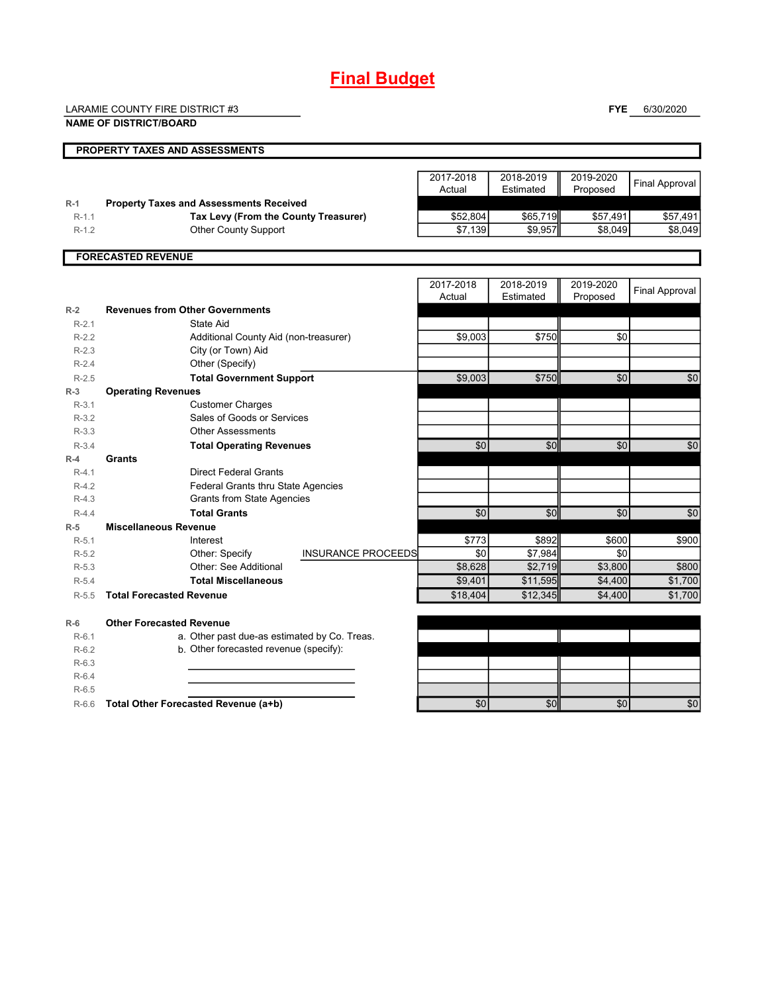# **Final Budget**

LARAMIE COUNTY FIRE DISTRICT #3

**NAME OF DISTRICT/BOARD**

**FYE** 6/30/2020

|           | PROPERTY TAXES AND ASSESSMENTS                 |                         |                        |                       |                       |
|-----------|------------------------------------------------|-------------------------|------------------------|-----------------------|-----------------------|
|           |                                                | $2017 - 2018$<br>Actual | 2018-2019<br>Estimated | 2019-2020<br>Proposed | <b>Final Approval</b> |
| $R-1$     | <b>Property Taxes and Assessments Received</b> |                         |                        |                       |                       |
| $R-1.1$   | Tax Levy (From the County Treasurer)           | \$52,804                | \$65,719               | \$57,491              | \$57,491              |
| $R-1.2$   | <b>Other County Support</b>                    | \$7,139                 | \$9,957                | \$8,049               | \$8,049               |
|           |                                                |                         |                        |                       |                       |
|           | <b>FORECASTED REVENUE</b>                      |                         |                        |                       |                       |
|           |                                                |                         |                        |                       |                       |
|           |                                                | 2017-2018               | 2018-2019              | 2019-2020             | <b>Final Approval</b> |
|           |                                                | Actual                  | Estimated              | Proposed              |                       |
| $R-2$     | <b>Revenues from Other Governments</b>         |                         |                        |                       |                       |
| $R - 2.1$ | State Aid                                      |                         |                        |                       |                       |
| $R-2.2$   | Additional County Aid (non-treasurer)          | \$9,003                 | \$750                  | \$0                   |                       |
| $R-2.3$   | City (or Town) Aid                             |                         |                        |                       |                       |
| $R - 2.4$ | Other (Specify)                                |                         |                        |                       |                       |
| $R-2.5$   | <b>Total Government Support</b>                | \$9.003                 | \$750                  | \$0                   | \$0                   |
| $R-3$     | <b>Operating Revenues</b>                      |                         |                        |                       |                       |
| $R-3.1$   | <b>Customer Charges</b>                        |                         |                        |                       |                       |
| $R-3.2$   | Sales of Goods or Services                     |                         |                        |                       |                       |
| $R-3.3$   | <b>Other Assessments</b>                       |                         |                        |                       |                       |
| $R - 3.4$ | <b>Total Operating Revenues</b>                | \$0                     | \$0                    | \$0                   | \$0                   |
| $R-4$     | <b>Grants</b>                                  |                         |                        |                       |                       |
| $R-4.1$   | <b>Direct Federal Grants</b>                   |                         |                        |                       |                       |
| $R-4.2$   | Federal Grants thru State Agencies             |                         |                        |                       |                       |
| $R-4.3$   | <b>Grants from State Agencies</b>              |                         |                        |                       |                       |
| $R-4.4$   | <b>Total Grants</b>                            | \$0                     | \$0                    | \$0                   | \$0                   |
| $R-5$     | <b>Miscellaneous Revenue</b>                   |                         |                        |                       |                       |
| $R-5.1$   | Interest                                       | \$773                   | \$892                  | \$600                 | \$900                 |
| $R-5.2$   | Other: Specify<br><b>INSURANCE PROCEEDS</b>    | \$0                     | \$7,984                | \$0                   |                       |
| $R-5.3$   | Other: See Additional                          | \$8,628                 | \$2,719                | \$3,800               | \$800                 |
| $R-5.4$   | <b>Total Miscellaneous</b>                     | \$9,401                 | \$11,595               | \$4,400               | \$1,700               |
| $R-5.5$   | <b>Total Forecasted Revenue</b>                | \$18.404                | \$12,345               | \$4,400               | \$1,700               |

**R-6 Other Forecasted Revenue** R-6.1 **a.** Other past due-as estimated by Co. Treas. R-6.2 b. Other forecasted revenue (specify): R-6.3 R-6.4 R-6.5

R-6.6 **Total Other Forecasted Revenue (a+b)** \$0 \$0 \$0 \$0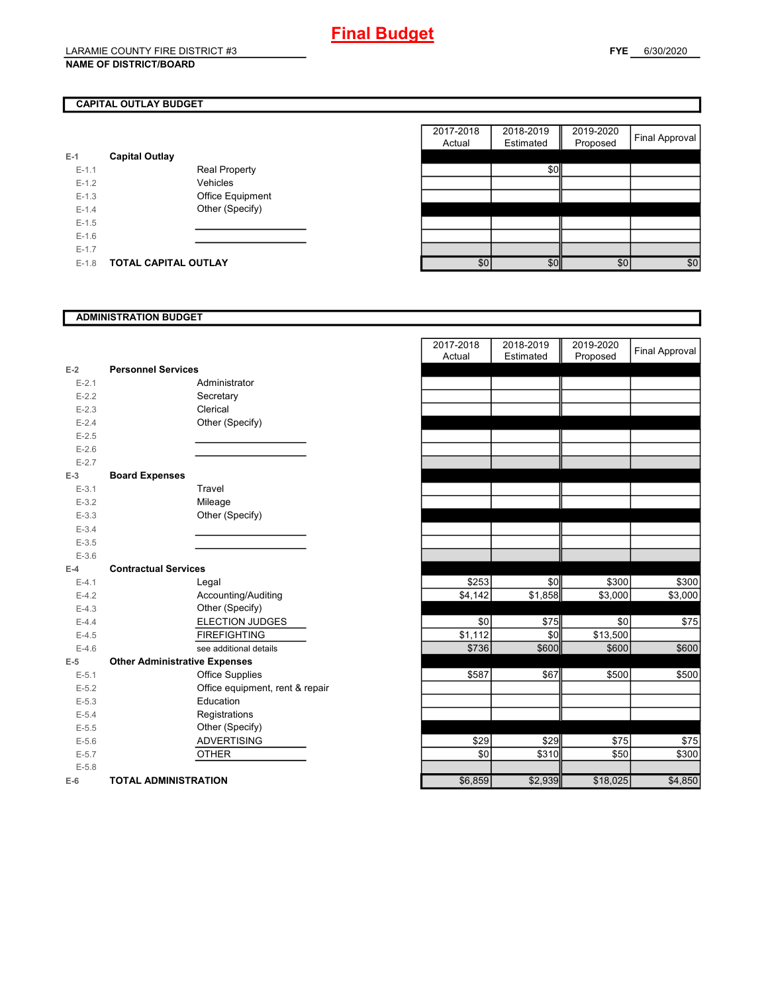# **CAPITAL OUTLAY BUDGET**

|           |                             |                      | , , , , , , , , , | --------- |
|-----------|-----------------------------|----------------------|-------------------|-----------|
| $E-1$     | <b>Capital Outlay</b>       |                      |                   |           |
| $E-1.1$   |                             | <b>Real Property</b> |                   | \$0       |
| $E-1.2$   |                             | Vehicles             |                   |           |
| $E-1.3$   |                             | Office Equipment     |                   |           |
| $E - 1.4$ |                             | Other (Specify)      |                   |           |
| $E-1.5$   |                             |                      |                   |           |
| $E-1.6$   |                             |                      |                   |           |
| $E-1.7$   |                             |                      |                   |           |
| $E-1.8$   | <b>TOTAL CAPITAL OUTLAY</b> |                      | \$0               | \$0       |

|         |                             |                      | 2017-2018 | 2018-2019 | 2019-2020 |                       |
|---------|-----------------------------|----------------------|-----------|-----------|-----------|-----------------------|
|         |                             |                      | Actual    | Estimated | Proposed  | <b>Final Approval</b> |
|         | <b>Capital Outlay</b>       |                      |           |           |           |                       |
| $E-1.1$ |                             | <b>Real Property</b> |           | \$0       |           |                       |
| $E-1.2$ |                             | Vehicles             |           |           |           |                       |
| $E-1.3$ |                             | Office Equipment     |           |           |           |                       |
| $E-1.4$ |                             | Other (Specify)      |           |           |           |                       |
| $E-1.5$ |                             |                      |           |           |           |                       |
| $E-1.6$ |                             |                      |           |           |           |                       |
| $E-1.7$ |                             |                      |           |           |           |                       |
| $E-1.8$ | <b>TOTAL CAPITAL OUTLAY</b> |                      | \$0       | \$0       | \$0       | \$0                   |
|         |                             |                      |           |           |           |                       |

## **ADMINISTRATION BUDGET**

|           |                                      |                                 | Actual  | Estimated | Proposed |
|-----------|--------------------------------------|---------------------------------|---------|-----------|----------|
| $E-2$     | <b>Personnel Services</b>            |                                 |         |           |          |
| $E - 2.1$ |                                      | Administrator                   |         |           |          |
| $E-2.2$   |                                      | Secretary                       |         |           |          |
| $E-2.3$   |                                      | Clerical                        |         |           |          |
| $E-2.4$   |                                      | Other (Specify)                 |         |           |          |
| $E-2.5$   |                                      |                                 |         |           |          |
| $E-2.6$   |                                      |                                 |         |           |          |
| $E - 2.7$ |                                      |                                 |         |           |          |
| $E-3$     | <b>Board Expenses</b>                |                                 |         |           |          |
| $E - 3.1$ |                                      | Travel                          |         |           |          |
| $E - 3.2$ |                                      | Mileage                         |         |           |          |
| $E-3.3$   |                                      | Other (Specify)                 |         |           |          |
| $E - 3.4$ |                                      |                                 |         |           |          |
| $E-3.5$   |                                      |                                 |         |           |          |
| $E - 3.6$ |                                      |                                 |         |           |          |
| $E-4$     | <b>Contractual Services</b>          |                                 |         |           |          |
| $E - 4.1$ |                                      | Legal                           | \$253   | \$0       | \$300    |
| $E-4.2$   |                                      | Accounting/Auditing             | \$4,142 | \$1,858   | \$3,000  |
| $E-4.3$   |                                      | Other (Specify)                 |         |           |          |
| $E-4.4$   |                                      | <b>ELECTION JUDGES</b>          | \$0     | \$75      | \$0      |
| $E-4.5$   |                                      | <b>FIREFIGHTING</b>             | \$1,112 | \$0       | \$13,500 |
| $E-4.6$   |                                      | see additional details          | \$736   | \$600     | \$600    |
| $E-5$     | <b>Other Administrative Expenses</b> |                                 |         |           |          |
| $E - 5.1$ |                                      | <b>Office Supplies</b>          | \$587   | \$67      | \$500    |
| $E - 5.2$ |                                      | Office equipment, rent & repair |         |           |          |
| $E-5.3$   |                                      | Education                       |         |           |          |
| $E-5.4$   |                                      | Registrations                   |         |           |          |
| $E-5.5$   |                                      | Other (Specify)                 |         |           |          |
| $E - 5.6$ |                                      | <b>ADVERTISING</b>              | \$29    | \$29      | \$75     |
| $E - 5.7$ |                                      | <b>OTHER</b>                    | \$0     | \$310     | \$50     |
| $E - 5.8$ |                                      |                                 |         |           |          |
| $E-6$     | <b>TOTAL ADMINISTRATION</b>          |                                 | \$6,859 | \$2,939   | \$18,025 |

|                          |                                      | 2017-2018<br>Actual | 2018-2019<br>Estimated | 2019-2020<br>Proposed | <b>Final Approval</b> |
|--------------------------|--------------------------------------|---------------------|------------------------|-----------------------|-----------------------|
| Ż                        | <b>Personnel Services</b>            |                     |                        |                       |                       |
| $E - 2.1$                | Administrator                        |                     |                        |                       |                       |
| $E - 2.2$                | Secretary                            |                     |                        |                       |                       |
| $E - 2.3$                | Clerical                             |                     |                        |                       |                       |
| $E - 2.4$                | Other (Specify)                      |                     |                        |                       |                       |
| $E - 2.5$                |                                      |                     |                        |                       |                       |
| $E - 2.6$                |                                      |                     |                        |                       |                       |
| $E - 2.7$                |                                      |                     |                        |                       |                       |
| $\overline{\phantom{a}}$ | <b>Board Expenses</b>                |                     |                        |                       |                       |
| $E - 3.1$                | Travel                               |                     |                        |                       |                       |
| $E - 3.2$                | Mileage                              |                     |                        |                       |                       |
| $E - 3.3$                | Other (Specify)                      |                     |                        |                       |                       |
| $E - 3.4$                |                                      |                     |                        |                       |                       |
| $E - 3.5$                |                                      |                     |                        |                       |                       |
| $E - 3.6$                |                                      |                     |                        |                       |                       |
| ı.                       | <b>Contractual Services</b>          |                     |                        |                       |                       |
| $E - 4.1$                | Legal                                | \$253               | \$0                    | \$300                 | \$300                 |
| $E - 4.2$                | Accounting/Auditing                  | \$4,142             | \$1,858                | \$3,000               | \$3,000               |
| $E - 4.3$                | Other (Specify)                      |                     |                        |                       |                       |
| $E - 4.4$                | <b>ELECTION JUDGES</b>               | \$0                 | \$75                   | \$0                   | \$75                  |
| $E - 4.5$                | <b>FIREFIGHTING</b>                  | \$1,112             | \$0                    | \$13,500              |                       |
| $E - 4.6$                | see additional details               | \$736               | \$600                  | \$600                 | \$600                 |
| $\overline{\phantom{a}}$ | <b>Other Administrative Expenses</b> |                     |                        |                       |                       |
| $E - 5.1$                | <b>Office Supplies</b>               | \$587               | \$67                   | \$500                 | \$500                 |
| $E - 5.2$                | Office equipment, rent & repair      |                     |                        |                       |                       |
| $E - 5.3$                | Education                            |                     |                        |                       |                       |
| $E - 5.4$                | Registrations                        |                     |                        |                       |                       |
| $E - 5.5$                | Other (Specify)                      |                     |                        |                       |                       |
| $E - 5.6$                | <b>ADVERTISING</b>                   | \$29                | \$29                   | \$75                  | \$75                  |
| $E - 5.7$                | <b>OTHER</b>                         | \$0                 | \$310                  | \$50                  | \$300                 |
| $E - 5.8$                |                                      |                     |                        |                       |                       |
| ŝ                        | <b>TOTAL ADMINISTRATION</b>          | \$6,859             | \$2,939                | \$18,025              | \$4,850               |
|                          |                                      |                     |                        |                       |                       |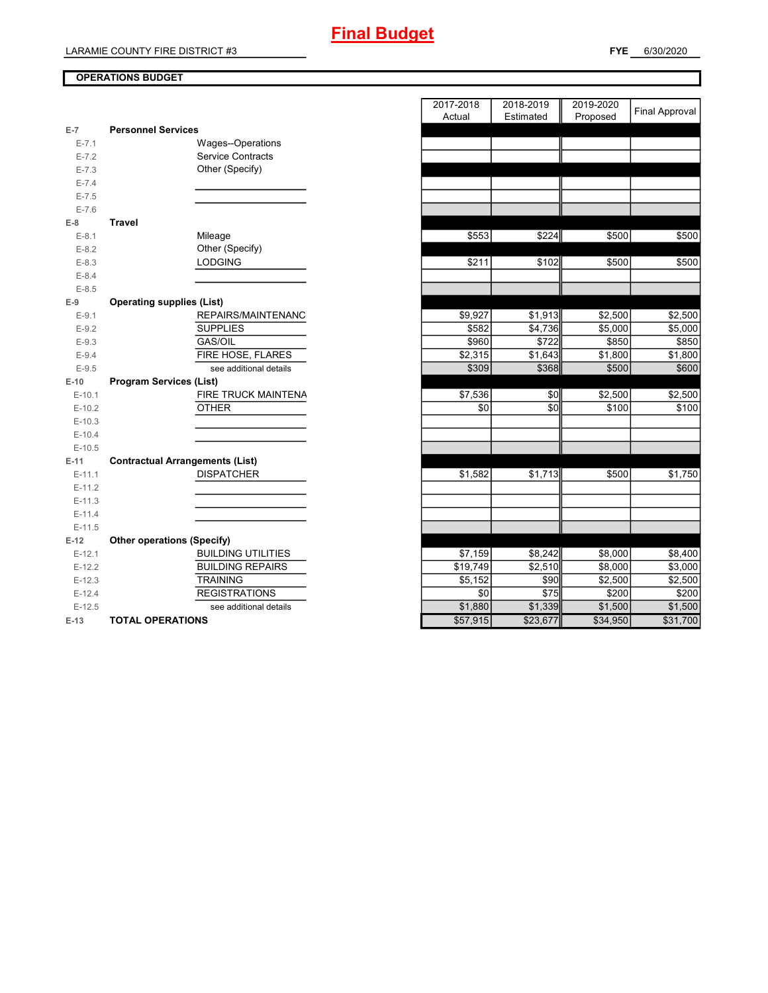# **OPERATIONS BUDGET**

| E-7       | <b>Personnel Services</b>              |
|-----------|----------------------------------------|
| $E - 7.1$ | Wages--Operations                      |
| $E - 7.2$ | <b>Service Contracts</b>               |
| $E - 7.3$ | Other (Specify)                        |
| $E - 7.4$ |                                        |
| $E - 7.5$ |                                        |
| $E - 7.6$ |                                        |
| E-8       | <b>Travel</b>                          |
| $E-8.1$   | Mileage                                |
| $E - 8.2$ | Other (Specify)                        |
| $E - 8.3$ | <b>LODGING</b>                         |
| $E - 8.4$ |                                        |
| $E-8.5$   |                                        |
| E-9       | <b>Operating supplies (List)</b>       |
| $E-9.1$   | REPAIRS/MAINTENANC                     |
| $E-9.2$   | <b>SUPPLIES</b>                        |
| $E-9.3$   | <b>GAS/OIL</b>                         |
| $E - 9.4$ | FIRE HOSE, FLARES                      |
| $E-9.5$   | see additional details                 |
| $E-10$    | <b>Program Services (List)</b>         |
| $E-10.1$  | FIRE TRUCK MAINTENA                    |
| $E-10.2$  | <b>OTHER</b>                           |
| $E-10.3$  |                                        |
| $E-10.4$  |                                        |
| $E-10.5$  |                                        |
| $E-11$    | <b>Contractual Arrangements (List)</b> |
| $E-11.1$  | <b>DISPATCHER</b>                      |
| $E-11.2$  |                                        |
| $E-11.3$  |                                        |
| $E-11.4$  |                                        |
| $E-11.5$  |                                        |
| $E-12$    | <b>Other operations (Specify)</b>      |
|           |                                        |
| $E-12.1$  | <b>BUILDING UTILITIES</b>              |
| $E-12.2$  | <b>BUILDING REPAIRS</b>                |
| $E-12.3$  | <b>TRAINING</b>                        |
| $E-12.4$  | <b>REGISTRATIONS</b>                   |
| $E-12.5$  | see additional details                 |

|                |                                        | 2017-2018 | 2018-2019 | 2019-2020 |                       |
|----------------|----------------------------------------|-----------|-----------|-----------|-----------------------|
|                |                                        | Actual    | Estimated | Proposed  | <b>Final Approval</b> |
| $\overline{7}$ | <b>Personnel Services</b>              |           |           |           |                       |
| $E - 7.1$      | Wages--Operations                      |           |           |           |                       |
| $E - 7.2$      | <b>Service Contracts</b>               |           |           |           |                       |
| $E - 7.3$      | Other (Specify)                        |           |           |           |                       |
| $E - 7.4$      |                                        |           |           |           |                       |
| $E - 7.5$      |                                        |           |           |           |                       |
| $E - 7.6$      |                                        |           |           |           |                       |
| 8              | <b>Travel</b>                          |           |           |           |                       |
| $E-8.1$        | Mileage                                | \$553     | \$224     | \$500     | \$500                 |
| $E-8.2$        | Other (Specify)                        |           |           |           |                       |
| $E-8.3$        | <b>LODGING</b>                         | \$211     | \$102     | \$500     | \$500                 |
| $E-8.4$        |                                        |           |           |           |                       |
| $E-8.5$        |                                        |           |           |           |                       |
| 9              | <b>Operating supplies (List)</b>       |           |           |           |                       |
| $E-9.1$        | REPAIRS/MAINTENANC                     | \$9,927   | \$1,913   | \$2,500   | \$2,500               |
| $E-9.2$        | <b>SUPPLIES</b>                        | \$582     | \$4,736   | \$5,000   | \$5,000               |
| $E - 9.3$      | GAS/OIL                                | \$960     | \$722     | \$850     | \$850                 |
| $E-9.4$        | FIRE HOSE, FLARES                      | \$2,315   | \$1,643   | \$1,800   | \$1,800               |
| $E-9.5$        | see additional details                 | \$309     | \$368     | \$500     | \$600                 |
| 10             | <b>Program Services (List)</b>         |           |           |           |                       |
| $E-10.1$       | FIRE TRUCK MAINTENA                    | \$7,536   | \$0       | \$2,500   | \$2,500               |
| $E-10.2$       | <b>OTHER</b>                           | \$0       | \$0       | \$100     | \$100                 |
| $E-10.3$       |                                        |           |           |           |                       |
| $E-10.4$       |                                        |           |           |           |                       |
| $E-10.5$       |                                        |           |           |           |                       |
| 11             | <b>Contractual Arrangements (List)</b> |           |           |           |                       |
| $E-11.1$       | <b>DISPATCHER</b>                      | \$1,582   | \$1,713   | \$500     | \$1,750               |
| $E-11.2$       |                                        |           |           |           |                       |
| $E-11.3$       |                                        |           |           |           |                       |
| $E-11.4$       |                                        |           |           |           |                       |
| $E-11.5$       |                                        |           |           |           |                       |
| 12             | <b>Other operations (Specify)</b>      |           |           |           |                       |
| $E-12.1$       | <b>BUILDING UTILITIES</b>              | \$7,159   | \$8,242   | \$8,000   | \$8,400               |
| $E-12.2$       | <b>BUILDING REPAIRS</b>                | \$19,749  | \$2,510   | \$8,000   | \$3,000               |
| $E-12.3$       | <b>TRAINING</b>                        | \$5,152   | \$90      | \$2,500   | \$2,500               |
| $E-12.4$       | <b>REGISTRATIONS</b>                   | \$0       | \$75      | \$200     | \$200                 |
| $E-12.5$       | see additional details                 | \$1,880   | \$1,339   | \$1,500   | \$1,500               |
| 13             | <b>TOTAL OPERATIONS</b>                | \$57,915  | \$23,677  | \$34,950  | \$31,700              |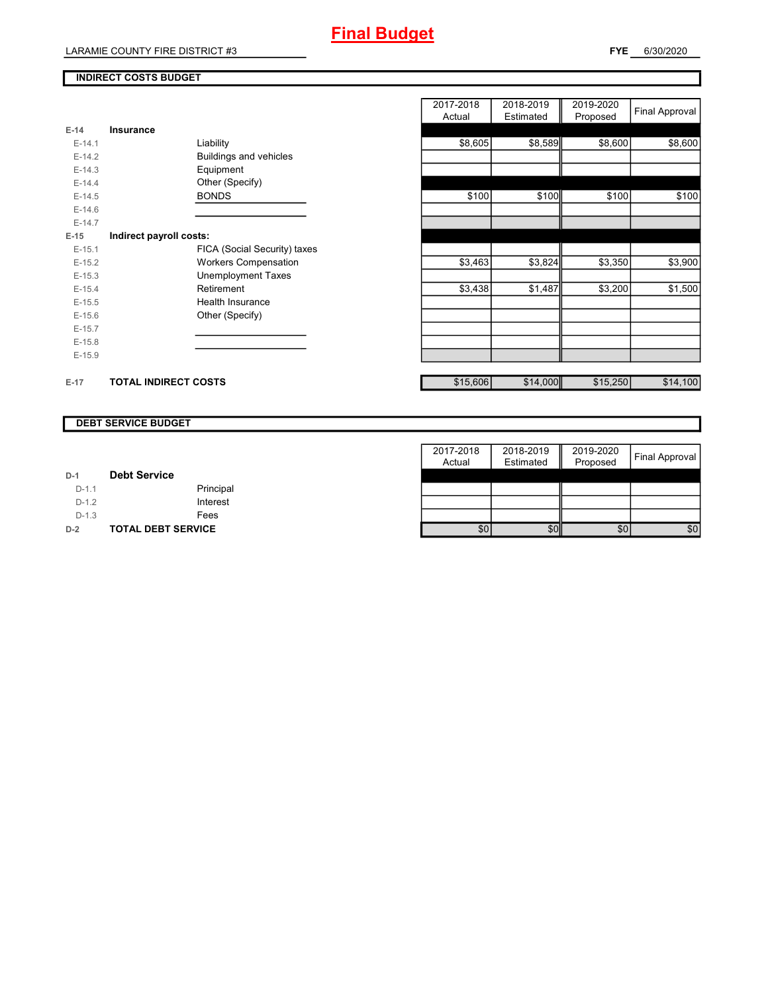# **INDIRECT COSTS BUDGET**

| E-14     | Insurance                    |
|----------|------------------------------|
| $E-14.1$ | Liability                    |
| $E-14.2$ | Buildings and vehicles       |
| $E-14.3$ | Equipment                    |
| $F-144$  | Other (Specify)              |
| $E-14.5$ | <b>BONDS</b>                 |
| $F-146$  |                              |
| $F-147$  |                              |
| $E-15$   | Indirect payroll costs:      |
| $E-15.1$ | FICA (Social Security) taxes |
| $E-15.2$ | <b>Workers Compensation</b>  |
| $E-15.3$ | Unemployment Taxes           |
| $E-15.4$ | Retirement                   |
| $E-15.5$ | Health Insurance             |
| $E-15.6$ | Other (Specify)              |
| $F-157$  |                              |
| $E-15.8$ |                              |
| $E-15.9$ |                              |
|          |                              |
| $E-17$   | <b>TOTAL INDIRECT COSTS</b>  |

|          |                             |                              | 2017-2018 | 2018-2019 | 2019-2020 | Final Approval |
|----------|-----------------------------|------------------------------|-----------|-----------|-----------|----------------|
|          |                             |                              | Actual    | Estimated | Proposed  |                |
| 14       | Insurance                   |                              |           |           |           |                |
| $E-14.1$ |                             | Liability                    | \$8,605   | \$8,589   | \$8,600   | \$8,600        |
| $E-14.2$ |                             | Buildings and vehicles       |           |           |           |                |
| $E-14.3$ |                             | Equipment                    |           |           |           |                |
| $E-14.4$ |                             | Other (Specify)              |           |           |           |                |
| $E-14.5$ |                             | <b>BONDS</b>                 | \$100     | \$100     | \$100     | \$100          |
| $E-14.6$ |                             |                              |           |           |           |                |
| $E-14.7$ |                             |                              |           |           |           |                |
| 15       | Indirect payroll costs:     |                              |           |           |           |                |
| $E-15.1$ |                             | FICA (Social Security) taxes |           |           |           |                |
| $E-15.2$ |                             | <b>Workers Compensation</b>  | \$3,463   | \$3,824   | \$3,350   | \$3,900        |
| $E-15.3$ |                             | <b>Unemployment Taxes</b>    |           |           |           |                |
| $E-15.4$ |                             | Retirement                   | \$3,438   | \$1,487   | \$3,200   | \$1,500        |
| $E-15.5$ |                             | Health Insurance             |           |           |           |                |
| $E-15.6$ |                             | Other (Specify)              |           |           |           |                |
| $E-15.7$ |                             |                              |           |           |           |                |
| $E-15.8$ |                             |                              |           |           |           |                |
| $E-15.9$ |                             |                              |           |           |           |                |
|          |                             |                              |           |           |           |                |
| 17       | <b>TOTAL INDIRECT COSTS</b> |                              | \$15,606  | \$14,000  | \$15,250  | \$14,100       |

## **DEBT SERVICE BUDGET**

|         |                           | 2017-2018 | 2018-2019 | 2019-2020 |                       |
|---------|---------------------------|-----------|-----------|-----------|-----------------------|
|         |                           | Actual    | Estimated | Proposed  | <b>Final Approval</b> |
| $D-1$   | <b>Debt Service</b>       |           |           |           |                       |
| $D-1.1$ | Principal                 |           |           |           |                       |
| $D-1.2$ | Interest                  |           |           |           |                       |
| $D-1.3$ | Fees                      |           |           |           |                       |
| $D-2$   | <b>TOTAL DEBT SERVICE</b> | \$0       | \$0       | \$0       | \$0                   |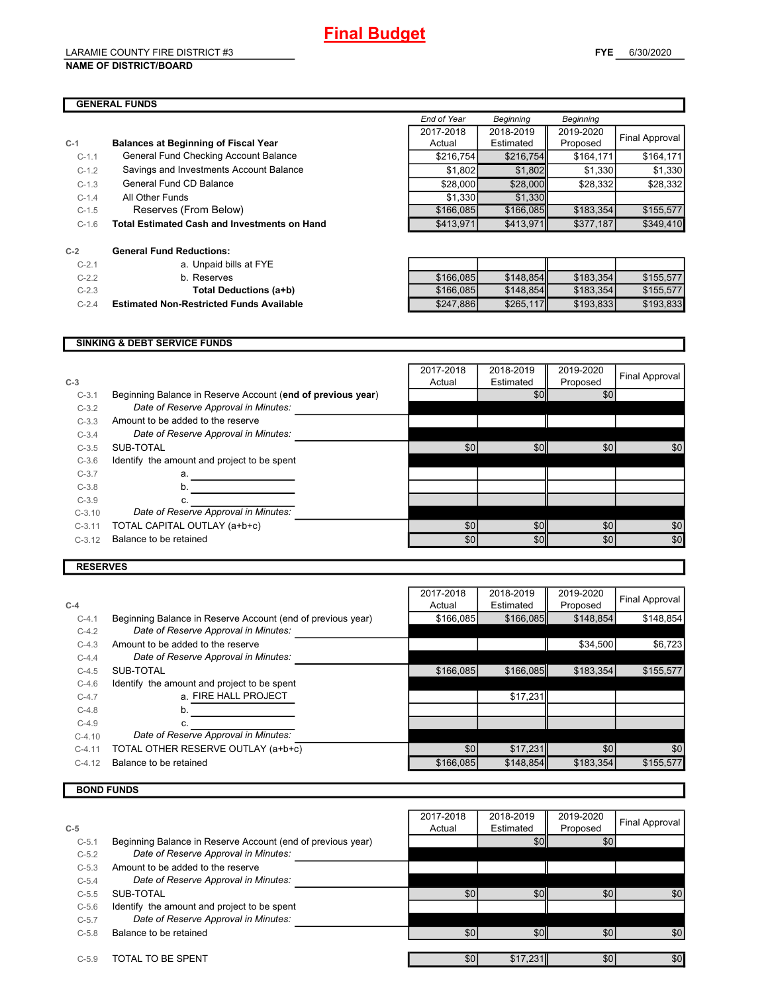C-1.6 \$413,971 \$413,971 \$377,187 \$349,410 **Total Estimated Cash and Investments on Hand**

#### LARAMIE COUNTY FIRE DISTRICT #3 **NAME OF DISTRICT/BOARD**

**C-1 Balances at Beginning of Fiscal Year**

C-1.5 **Reserves (From Below)** 

# **GENERAL FUNDS**

|           | <b>GENERAL FUNDS</b>                        |             |           |                  |                |  |  |  |
|-----------|---------------------------------------------|-------------|-----------|------------------|----------------|--|--|--|
|           |                                             | End of Year | Beginning | <b>Beginning</b> |                |  |  |  |
|           |                                             | 2017-2018   | 2018-2019 | 2019-2020        | Final Approval |  |  |  |
|           | <b>Balances at Beginning of Fiscal Year</b> | Actual      | Estimated | Proposed         |                |  |  |  |
| $C-1.1$   | General Fund Checking Account Balance       | \$216.754   | \$216,754 | \$164.171        | \$164,171      |  |  |  |
| $C-1.2$   | Savings and Investments Account Balance     | \$1.802     | \$1.802   | \$1.330          | \$1,330        |  |  |  |
| $C-1.3$   | General Fund CD Balance                     | \$28,000    | \$28,000  | \$28.332         | \$28,332       |  |  |  |
| $C-1.4$   | All Other Funds                             | \$1.330     | \$1.330   |                  |                |  |  |  |
| $C - 1.5$ | Reserves (From Relow)                       | \$166085    | \$166085  | \$183.354        | \$155,577      |  |  |  |

| $C-2$     | <b>General Fund Reductions:</b>                 |
|-----------|-------------------------------------------------|
| $C-2.1$   | a. Unpaid bills at FYE                          |
| $C - 22$  | b. Reserves                                     |
| $C - 2.3$ | Total Deductions (a+b)                          |
| $C-2.4$   | <b>Estimated Non-Restricted Funds Available</b> |

| $C-2.1$ | a. Unpaid bills at FYE                          |           |           |           |           |
|---------|-------------------------------------------------|-----------|-----------|-----------|-----------|
| $C-2.2$ | b. Reserves                                     | \$166,085 | \$148.854 | \$183.354 | \$155.577 |
| $C-2.3$ | Total Deductions (a+b)                          | \$166,085 | \$148.854 | \$183.354 | \$155.577 |
| $C-2.4$ | <b>Estimated Non-Restricted Funds Available</b> | \$247.886 | \$265.117 | \$193.833 | \$193,833 |

#### **SINKING & DEBT SERVICE FUNDS**

| $C-3$    |                                                             | 2017-2018<br>Actual | 2018-2019<br>Estimated | 2019-2020<br>Proposed | Final Approval |
|----------|-------------------------------------------------------------|---------------------|------------------------|-----------------------|----------------|
| $C-3.1$  | Beginning Balance in Reserve Account (end of previous year) |                     | \$0                    | \$0                   |                |
| $C-3.2$  | Date of Reserve Approval in Minutes:                        |                     |                        |                       |                |
| $C-3.3$  | Amount to be added to the reserve                           |                     |                        |                       |                |
| $C-3.4$  | Date of Reserve Approval in Minutes:                        |                     |                        |                       |                |
| $C-3.5$  | SUB-TOTAL                                                   | \$0                 | \$0                    | \$0                   | \$0            |
| $C-3.6$  | Identify the amount and project to be spent                 |                     |                        |                       |                |
| $C-3.7$  | a.                                                          |                     |                        |                       |                |
| $C-3.8$  | b.                                                          |                     |                        |                       |                |
| $C-3.9$  | C.                                                          |                     |                        |                       |                |
| $C-3.10$ | Date of Reserve Approval in Minutes:                        |                     |                        |                       |                |
| $C-3.11$ | TOTAL CAPITAL OUTLAY (a+b+c)                                | \$0                 | \$0                    | \$0                   | \$0            |
| $C-3.12$ | Balance to be retained                                      | \$0                 | \$0                    | \$0                   | \$0            |
|          |                                                             |                     |                        |                       |                |

## **RESERVES**

| $C-4$    |                                                             | 2017-2018<br>Actual | 2018-2019<br>Estimated | 2019-2020<br>Proposed | Final Approval |
|----------|-------------------------------------------------------------|---------------------|------------------------|-----------------------|----------------|
| $C-4.1$  | Beginning Balance in Reserve Account (end of previous year) | \$166,085           | \$166,085              | \$148,854             | \$148,854      |
| $C-4.2$  | Date of Reserve Approval in Minutes:                        |                     |                        |                       |                |
| $C-4.3$  | Amount to be added to the reserve                           |                     |                        | \$34,500              | \$6,723        |
| $C-4.4$  | Date of Reserve Approval in Minutes:                        |                     |                        |                       |                |
| $C-4.5$  | SUB-TOTAL                                                   | \$166,085           | \$166.085              | \$183.354             | \$155.577      |
| $C-4.6$  | Identify the amount and project to be spent                 |                     |                        |                       |                |
| $C-4.7$  | a. FIRE HALL PROJECT                                        |                     | \$17,231               |                       |                |
| $C-4.8$  | b.                                                          |                     |                        |                       |                |
| $C-4.9$  | c.                                                          |                     |                        |                       |                |
| $C-4.10$ | Date of Reserve Approval in Minutes:                        |                     |                        |                       |                |
| $C-4.11$ | TOTAL OTHER RESERVE OUTLAY (a+b+c)                          | \$0                 | \$17,231               | \$0                   | \$0            |
| $C-4.12$ | Balance to be retained                                      | \$166,085           | \$148,854              | \$183,354             | \$155,577      |

# **BOND FUNDS**

|         |                                                             | 2017-2018 | 2018-2019  | 2019-2020 | Final Approval |
|---------|-------------------------------------------------------------|-----------|------------|-----------|----------------|
| $C-5$   |                                                             | Actual    | Estimated  | Proposed  |                |
| $C-5.1$ | Beginning Balance in Reserve Account (end of previous year) |           | \$0        | \$0       |                |
| $C-5.2$ | Date of Reserve Approval in Minutes:                        |           |            |           |                |
| $C-5.3$ | Amount to be added to the reserve                           |           |            |           |                |
| $C-5.4$ | Date of Reserve Approval in Minutes:                        |           |            |           |                |
| $C-5.5$ | SUB-TOTAL                                                   | \$0       | <b>\$0</b> | \$0       | \$0            |
| $C-5.6$ | Identify the amount and project to be spent                 |           |            |           |                |
| $C-5.7$ | Date of Reserve Approval in Minutes:                        |           |            |           |                |
| $C-5.8$ | Balance to be retained                                      | \$0       | \$0        | \$0       | \$0            |
|         |                                                             |           |            |           |                |
| $C-5.9$ | TOTAL TO BE SPENT                                           | \$0       | \$17,231   | \$0       | \$0            |